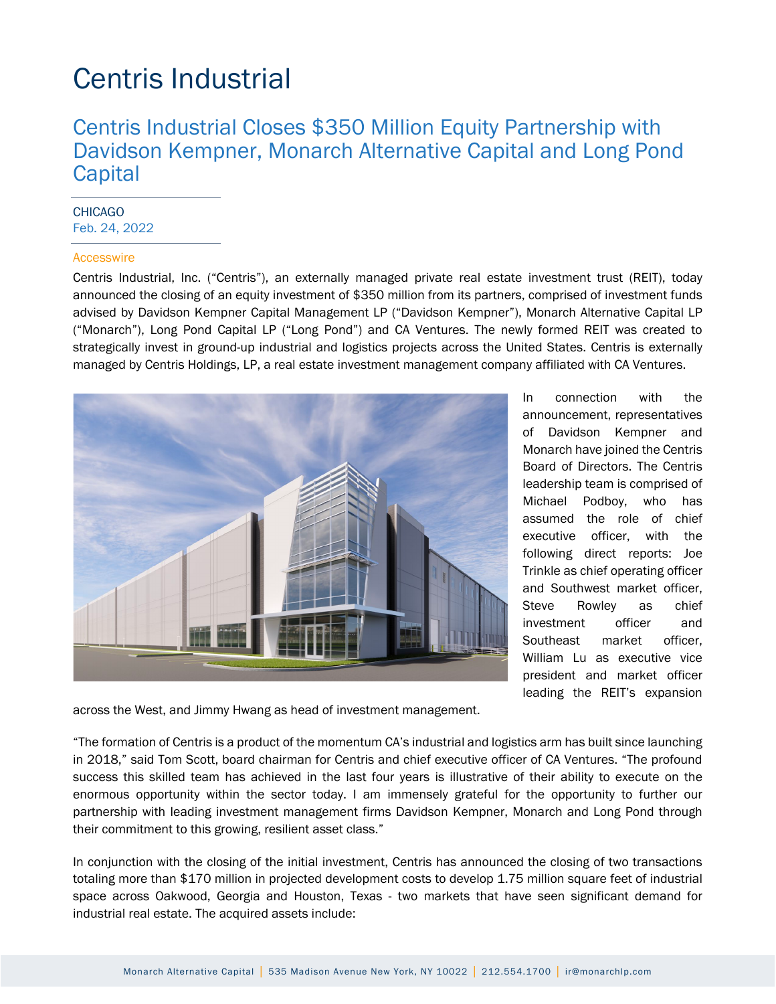### Centris Industrial Closes \$350 Million Equity Partnership with Davidson Kempner, Monarch Alternative Capital and Long Pond **Capital**

#### **CHICAGO** Feb. 24, 2022

#### **Accesswire**

Centris Industrial, Inc. ("Centris"), an externally managed private real estate investment trust (REIT), today announced the closing of an equity investment of \$350 million from its partners, comprised of investment funds advised by Davidson Kempner Capital Management LP ("Davidson Kempner"), Monarch Alternative Capital LP ("Monarch"), Long Pond Capital LP ("Long Pond") and CA Ventures. The newly formed REIT was created to strategically invest in ground-up industrial and logistics projects across the United States. Centris is externally managed by Centris Holdings, LP, a real estate investment management company affiliated with CA Ventures.



In connection with the announcement, representatives of Davidson Kempner and Monarch have joined the Centris Board of Directors. The Centris leadership team is comprised of Michael Podboy, who has assumed the role of chief executive officer, with the following direct reports: Joe Trinkle as chief operating officer and Southwest market officer, Steve Rowley as chief investment officer and Southeast market officer. William Lu as executive vice president and market officer leading the REIT's expansion

across the West, and Jimmy Hwang as head of investment management.

"The formation of Centris is a product of the momentum CA's industrial and logistics arm has built since launching in 2018," said Tom Scott, board chairman for Centris and chief executive officer of CA Ventures. "The profound success this skilled team has achieved in the last four years is illustrative of their ability to execute on the enormous opportunity within the sector today. I am immensely grateful for the opportunity to further our partnership with leading investment management firms Davidson Kempner, Monarch and Long Pond through their commitment to this growing, resilient asset class."

In conjunction with the closing of the initial investment, Centris has announced the closing of two transactions totaling more than \$170 million in projected development costs to develop 1.75 million square feet of industrial space across Oakwood, Georgia and Houston, Texas - two markets that have seen significant demand for industrial real estate. The acquired assets include: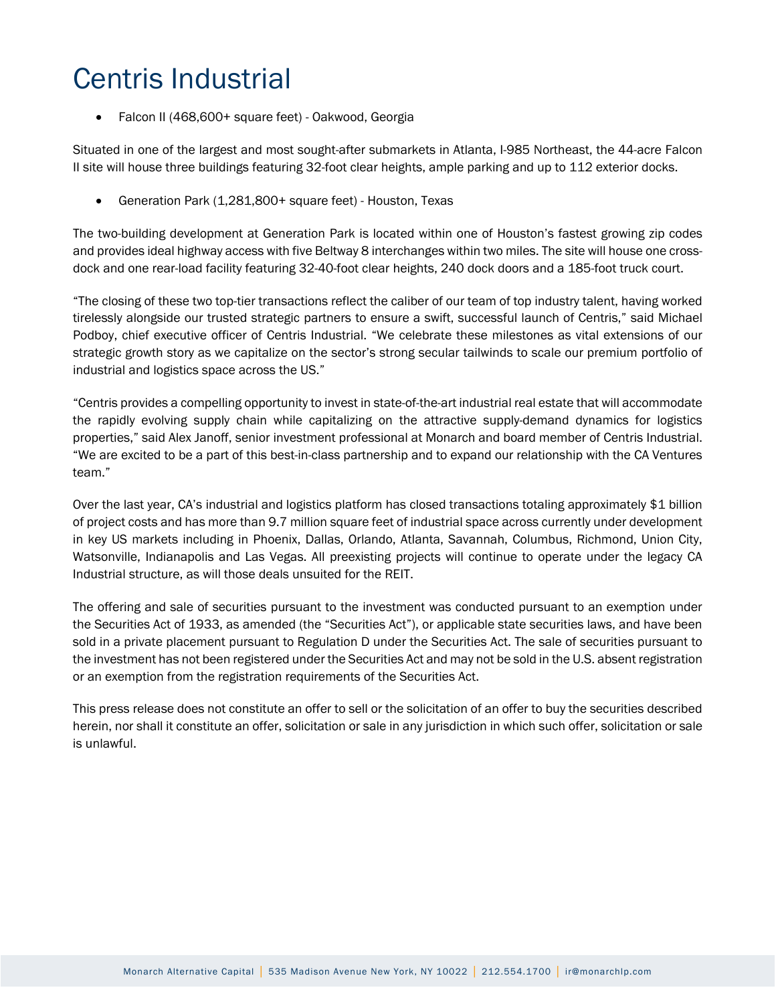• Falcon II (468,600+ square feet) - Oakwood, Georgia

Situated in one of the largest and most sought-after submarkets in Atlanta, I-985 Northeast, the 44-acre Falcon II site will house three buildings featuring 32-foot clear heights, ample parking and up to 112 exterior docks.

• Generation Park (1,281,800+ square feet) - Houston, Texas

The two-building development at Generation Park is located within one of Houston's fastest growing zip codes and provides ideal highway access with five Beltway 8 interchanges within two miles. The site will house one crossdock and one rear-load facility featuring 32-40-foot clear heights, 240 dock doors and a 185-foot truck court.

"The closing of these two top-tier transactions reflect the caliber of our team of top industry talent, having worked tirelessly alongside our trusted strategic partners to ensure a swift, successful launch of Centris," said Michael Podboy, chief executive officer of Centris Industrial. "We celebrate these milestones as vital extensions of our strategic growth story as we capitalize on the sector's strong secular tailwinds to scale our premium portfolio of industrial and logistics space across the US."

"Centris provides a compelling opportunity to invest in state-of-the-art industrial real estate that will accommodate the rapidly evolving supply chain while capitalizing on the attractive supply-demand dynamics for logistics properties," said Alex Janoff, senior investment professional at Monarch and board member of Centris Industrial. "We are excited to be a part of this best-in-class partnership and to expand our relationship with the CA Ventures team."

Over the last year, CA's industrial and logistics platform has closed transactions totaling approximately \$1 billion of project costs and has more than 9.7 million square feet of industrial space across currently under development in key US markets including in Phoenix, Dallas, Orlando, Atlanta, Savannah, Columbus, Richmond, Union City, Watsonville, Indianapolis and Las Vegas. All preexisting projects will continue to operate under the legacy CA Industrial structure, as will those deals unsuited for the REIT.

The offering and sale of securities pursuant to the investment was conducted pursuant to an exemption under the Securities Act of 1933, as amended (the "Securities Act"), or applicable state securities laws, and have been sold in a private placement pursuant to Regulation D under the Securities Act. The sale of securities pursuant to the investment has not been registered under the Securities Act and may not be sold in the U.S. absent registration or an exemption from the registration requirements of the Securities Act.

This press release does not constitute an offer to sell or the solicitation of an offer to buy the securities described herein, nor shall it constitute an offer, solicitation or sale in any jurisdiction in which such offer, solicitation or sale is unlawful.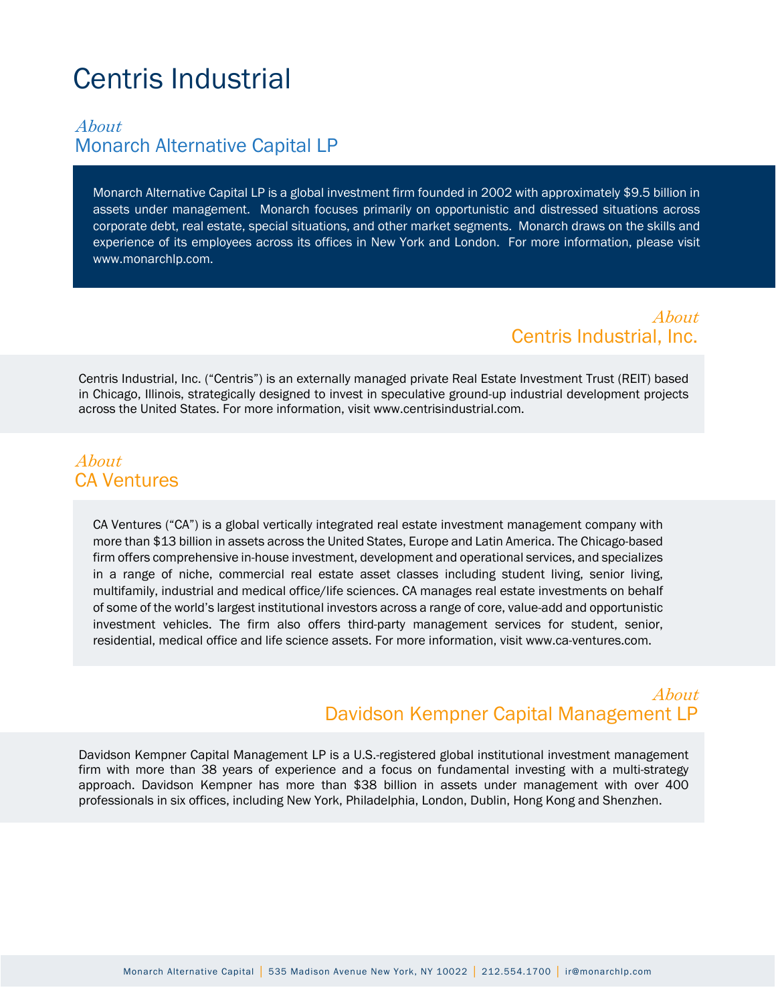### About Monarch Alternative Capital LP

Monarch Alternative Capital LP is a global investment firm founded in 2002 with approximately \$9.5 billion in assets under management. Monarch focuses primarily on opportunistic and distressed situations across corporate debt, real estate, special situations, and other market segments. Monarch draws on the skills and experience of its employees across its offices in New York and London. For more information, please visit www.monarchlp.com.

> About Centris Industrial, Inc.

Centris Industrial, Inc. ("Centris") is an externally managed private Real Estate Investment Trust (REIT) based in Chicago, Illinois, strategically designed to invest in speculative ground-up industrial development projects across the United States. For more information, visit www.centrisindustrial.com.

### About CA Ventures

CA Ventures ("CA") is a global vertically integrated real estate investment management company with more than \$13 billion in assets across the United States, Europe and Latin America. The Chicago-based firm offers comprehensive in-house investment, development and operational services, and specializes in a range of niche, commercial real estate asset classes including student living, senior living, multifamily, industrial and medical office/life sciences. CA manages real estate investments on behalf of some of the world's largest institutional investors across a range of core, value-add and opportunistic investment vehicles. The firm also offers third-party management services for student, senior, residential, medical office and life science assets. For more information, visit www.ca-ventures.com.

#### About Davidson Kempner Capital Management LP

Davidson Kempner Capital Management LP is a U.S.-registered global institutional investment management firm with more than 38 years of experience and a focus on fundamental investing with a multi-strategy approach. Davidson Kempner has more than \$38 billion in assets under management with over 400 professionals in six offices, including New York, Philadelphia, London, Dublin, Hong Kong and Shenzhen.